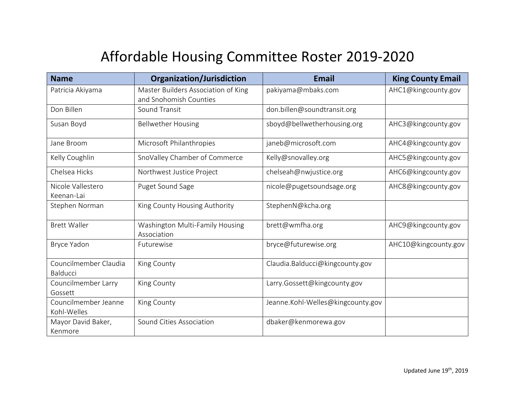## Affordable Housing Committee Roster 2019-2020

| <b>Name</b>                              | <b>Organization/Jurisdiction</b>                              | <b>Email</b>                      | <b>King County Email</b> |
|------------------------------------------|---------------------------------------------------------------|-----------------------------------|--------------------------|
| Patricia Akiyama                         | Master Builders Association of King<br>and Snohomish Counties | pakiyama@mbaks.com                | AHC1@kingcounty.gov      |
| Don Billen                               | Sound Transit                                                 | don.billen@soundtransit.org       |                          |
| Susan Boyd                               | <b>Bellwether Housing</b>                                     | sboyd@bellwetherhousing.org       | AHC3@kingcounty.gov      |
| Jane Broom                               | Microsoft Philanthropies                                      | janeb@microsoft.com               | AHC4@kingcounty.gov      |
| Kelly Coughlin                           | SnoValley Chamber of Commerce                                 | Kelly@snovalley.org               | AHC5@kingcounty.gov      |
| Chelsea Hicks                            | Northwest Justice Project                                     | chelseah@nwjustice.org            | AHC6@kingcounty.gov      |
| Nicole Vallestero<br>Keenan-Lai          | Puget Sound Sage                                              | nicole@pugetsoundsage.org         | AHC8@kingcounty.gov      |
| Stephen Norman                           | King County Housing Authority                                 | StephenN@kcha.org                 |                          |
| <b>Brett Waller</b>                      | Washington Multi-Family Housing<br>Association                | brett@wmfha.org                   | AHC9@kingcounty.gov      |
| Bryce Yadon                              | Futurewise                                                    | bryce@futurewise.org              | AHC10@kingcounty.gov     |
| Councilmember Claudia<br><b>Balducci</b> | King County                                                   | Claudia.Balducci@kingcounty.gov   |                          |
| Councilmember Larry<br>Gossett           | King County                                                   | Larry.Gossett@kingcounty.gov      |                          |
| Councilmember Jeanne<br>Kohl-Welles      | King County                                                   | Jeanne.Kohl-Welles@kingcounty.gov |                          |
| Mayor David Baker,<br>Kenmore            | Sound Cities Association                                      | dbaker@kenmorewa.gov              |                          |